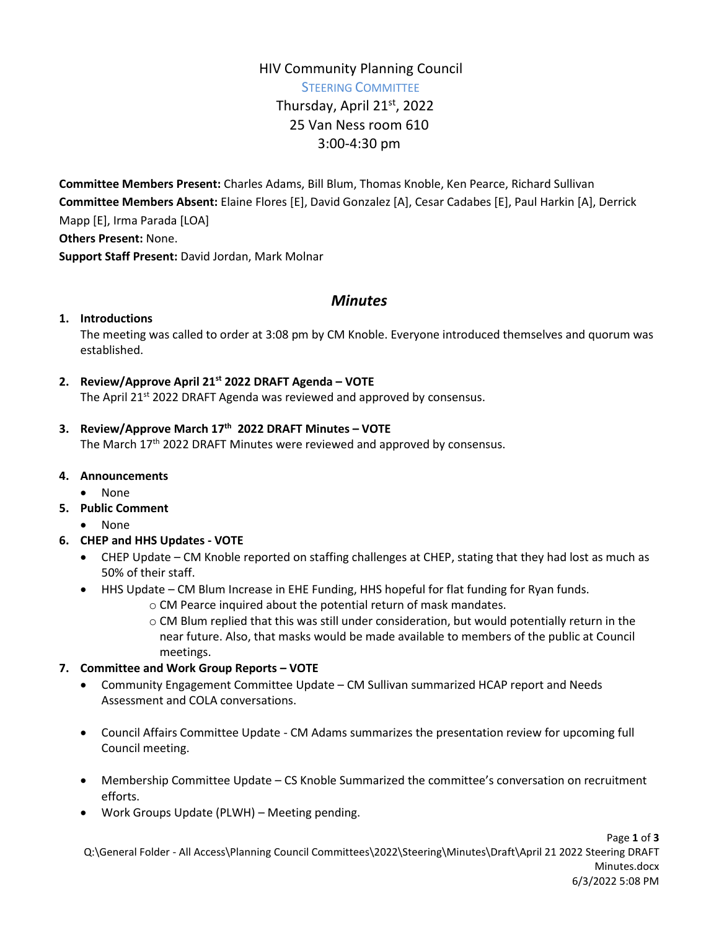# HIV Community Planning Council STEERING COMMITTEE Thursday, April 21<sup>st</sup>, 2022 25 Van Ness room 610 3:00-4:30 pm

**Committee Members Present:** Charles Adams, Bill Blum, Thomas Knoble, Ken Pearce, Richard Sullivan **Committee Members Absent:** Elaine Flores [E], David Gonzalez [A], Cesar Cadabes [E], Paul Harkin [A], Derrick Mapp [E], Irma Parada [LOA] **Others Present:** None. **Support Staff Present:** David Jordan, Mark Molnar

# *Minutes*

#### **1. Introductions**

The meeting was called to order at 3:08 pm by CM Knoble. Everyone introduced themselves and quorum was established.

**2. Review/Approve April 21st 2022 DRAFT Agenda – VOTE**

The April 21<sup>st</sup> 2022 DRAFT Agenda was reviewed and approved by consensus.

### **3. Review/Approve March 17th 2022 DRAFT Minutes – VOTE**

The March 17th 2022 DRAFT Minutes were reviewed and approved by consensus.

- **4. Announcements**
	- None
- **5. Public Comment**
	- None

### **6. CHEP and HHS Updates - VOTE**

- CHEP Update CM Knoble reported on staffing challenges at CHEP, stating that they had lost as much as 50% of their staff.
- HHS Update CM Blum Increase in EHE Funding, HHS hopeful for flat funding for Ryan funds.
	- o CM Pearce inquired about the potential return of mask mandates.
	- o CM Blum replied that this was still under consideration, but would potentially return in the near future. Also, that masks would be made available to members of the public at Council meetings.

### **7. Committee and Work Group Reports – VOTE**

- Community Engagement Committee Update CM Sullivan summarized HCAP report and Needs Assessment and COLA conversations.
- Council Affairs Committee Update CM Adams summarizes the presentation review for upcoming full Council meeting.
- Membership Committee Update CS Knoble Summarized the committee's conversation on recruitment efforts.
- Work Groups Update (PLWH) Meeting pending.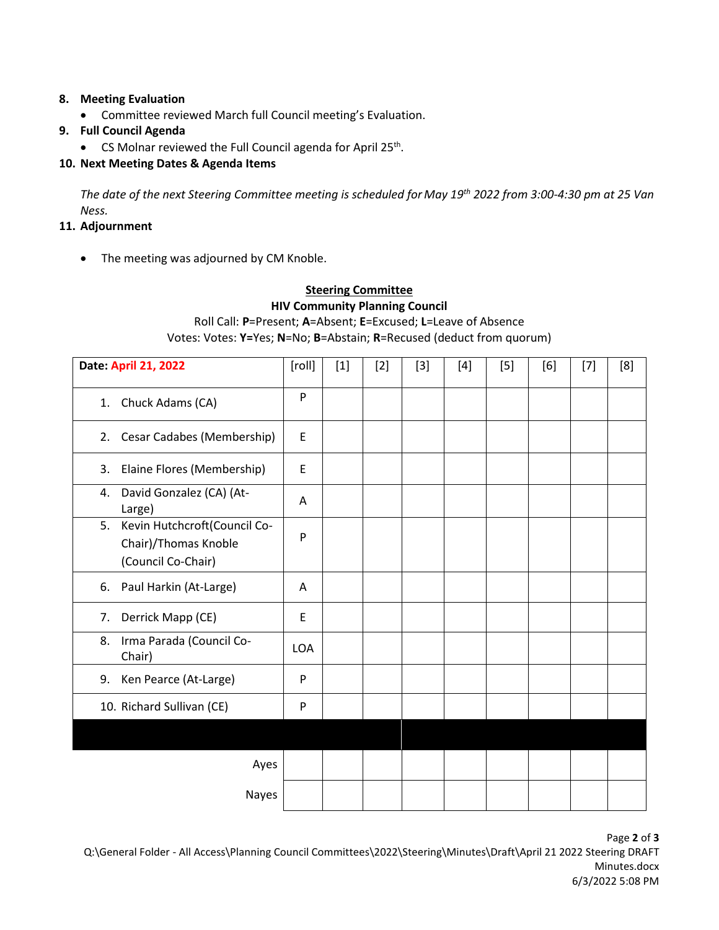#### **8. Meeting Evaluation**

- Committee reviewed March full Council meeting's Evaluation.
- **9. Full Council Agenda**
	- CS Molnar reviewed the Full Council agenda for April 25<sup>th</sup>.

## **10. Next Meeting Dates & Agenda Items**

*The date of the next Steering Committee meeting is scheduled for May 19th 2022 from 3:00-4:30 pm at 25 Van Ness.*

### **11. Adjournment**

• The meeting was adjourned by CM Knoble.

# **Steering Committee HIV Community Planning Council** Roll Call: **P**=Present; **A**=Absent; **E**=Excused; **L**=Leave of Absence Votes: Votes: **Y=**Yes; **N**=No; **B**=Abstain; **R**=Recused (deduct from quorum)

| Date: April 21, 2022                                                             | [roll]     | $[1]$ | $[2]$ | $[3]$ | $[4]$ | $[5]$ | [6] | $[7]$ | [8] |
|----------------------------------------------------------------------------------|------------|-------|-------|-------|-------|-------|-----|-------|-----|
| Chuck Adams (CA)<br>1.                                                           | P          |       |       |       |       |       |     |       |     |
| Cesar Cadabes (Membership)<br>2.                                                 | E          |       |       |       |       |       |     |       |     |
| Elaine Flores (Membership)<br>3.                                                 | E          |       |       |       |       |       |     |       |     |
| David Gonzalez (CA) (At-<br>4.<br>Large)                                         | A          |       |       |       |       |       |     |       |     |
| Kevin Hutchcroft(Council Co-<br>5.<br>Chair)/Thomas Knoble<br>(Council Co-Chair) | P          |       |       |       |       |       |     |       |     |
| Paul Harkin (At-Large)<br>6.                                                     | A          |       |       |       |       |       |     |       |     |
| Derrick Mapp (CE)<br>7.                                                          | E          |       |       |       |       |       |     |       |     |
| Irma Parada (Council Co-<br>8.<br>Chair)                                         | <b>LOA</b> |       |       |       |       |       |     |       |     |
| Ken Pearce (At-Large)<br>9.                                                      | P          |       |       |       |       |       |     |       |     |
| 10. Richard Sullivan (CE)                                                        | P          |       |       |       |       |       |     |       |     |
|                                                                                  |            |       |       |       |       |       |     |       |     |
| Ayes                                                                             |            |       |       |       |       |       |     |       |     |
| Nayes                                                                            |            |       |       |       |       |       |     |       |     |